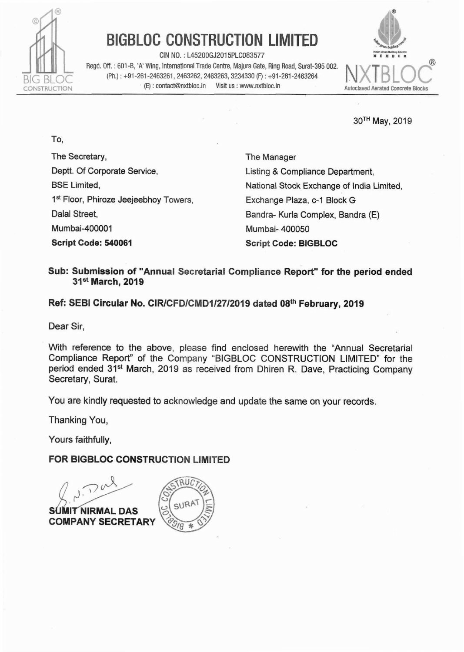

**To,** 

# **BIGBLOC CONSTRUCTION LIMITED**

**CIN NO.** : **L45200GJ2015PLC083577 m(Dm"ll~4~- Regd. Off.: 601-B, 'A' Wing, International Trade Centre, Majura Gate, Ring Road, Surat-395 002. 
<br>
<b>Regd. Off.: 601-B, 'A' Wing, International Trade Centre, Majura Gate, Ring Road, Surat-395 002. 
<br>
<b>Regd. Off.: 601-B, 'A** BIG BLOC (Ph.): +91-261-2463261, 2463262, 2463263, 3234330 (F): +91-261-2463264<br>CONSTRUCTION (E): contact@nxtbloc.in Visit us : www.nxtbloc.in



**30TH May, 2019** 

**The Secretary, Deptt. Of Corporate Sewice, BSE Limited, Is' Floor,** Phiroze **Jeejeebhoy Towers, Dalal Street,** Mumbai-400001 **Script Code: 540061** 

**The Manager Listing** & **Compliance Department,**  National **Stock Exchange** of **India** Limited, **Exchange Plaza, c-1 Block G** Bandra- Kurla **Complex, Bandra (E)**  Mum **bai- 400050 Script Code: BIGBLOC** 

### **Sub: Submission of "Annual Secretarial Compliance Report" for the period ended 3ISt March, 2019**

## Ref: SEBI Circular No. CIR/CFD/CMD1/27/2019 dated 08th February, 2019

**Dear Sir,** 

**With reference to the above, please find** enclosed **herewith the "Annual Secretarial Compliance Report" of** the **Company** "BIGBLOC CONSTRUCTION LIMITED" for the **period ended 31<sup>st</sup> March, 2019 as received from Dhiren R. Dave, Practicing Company Secretary, Surat.** 

**You are kindly requested** to **acknowledge** and update **the same** on **your records.** 

**Thanking You,** 

**Yours faithfully,** 

#### **FOR BIGBLOC CONSTRUCTION LIMITED**

 $70$ **NIRMAL DAS** 

**COMPANY SECRETARY** 

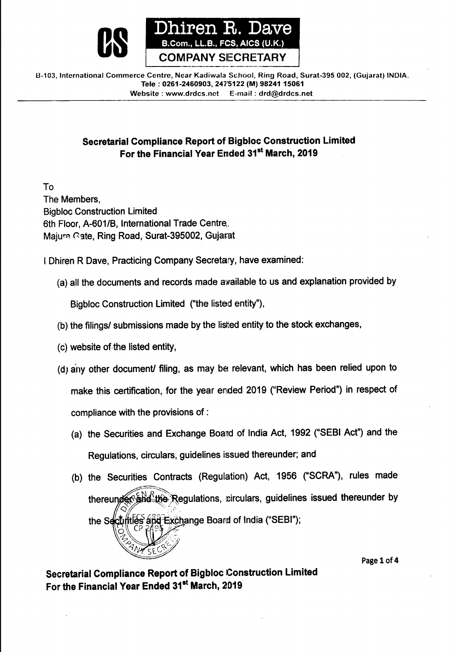

**B-103, International Commerce Centre, Near Kadiwala School, Ring Road, Surat-395 002, (Gujarat) INDIA. Tele** : **0261-2460903,247'5122 (M) 98241 15061 Website** : **www.drdcs.net E-mail** : **drd@drdcs.net** 

# **Secretarial Compliance Report of Bigbloc Construction Limited For the Financial Year Ernded 31'' March, 2019**

To The Members, Bigbloc Construction Limited 6th Floor, A-601/B, International Trade Centre, Majurs Gate, Ring Road, Surat-395002, Gujarat

I Dhiren R Dave, Practicing Company Secretary, have examined:

(a) all the documents and records made awailable to us and explanation provided by

Bigbloc Construction Limited ("the listed entity"),

- (b) the filings/ submissions made by the listed entity to the stock exchanges,
- (c) website of the listed entity,
- (d) any other document/ filing, as may be relevant, which has been relied upon to make this certification, for the year ended 2019 ("Review Period") in respect of compliance with the provisions of :
	- (a) the Securities and Exchange Board of India Act, 1992 ("SEBI Act") and the Regulations, circulars, guidelines issued thereunder; and
	- (b) the Securities Contracts (Regulation) Act, 1956 ("SCRA"), rules made thereunder and the Regulations, circulars, guidelines issued thereunder by the Seculities and Exchange Board of India ("SEBI");

**Page 1 of 4** 

**Secretarial Compliance Report of Bigbloc Construction Limited**  For the Financial Year Ended 31<sup>st</sup> March, 2019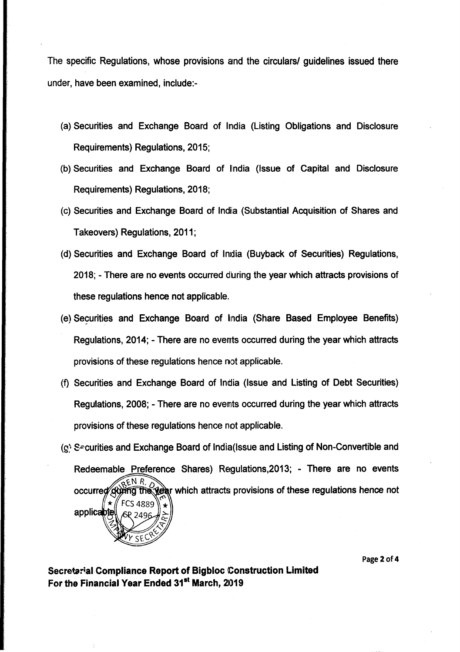The specific Regulations, whose provisions and the circulars/ guidelines issued there under, have been examined, include:-

- (a) Securities and Exchange Board of lrndia (Listing Obligations and Disclosure Requirements) Regulations, 2015;
- (b) Securities and Exchange Board of India (Issue of Capital and Disclosure Requirements) Regulations, 2018;
- (c) Securities and Exchange Board of India (Substantial Acquisition of Shares and Takeovers) Regulations, 2011;
- (d) Securities and Exchange Board of Inxlia (Buyback of Securities) Regulations, 2018; - There are no events occurred dhring the year which attracts provisions of these regulations hence not applicable.
- (e) Securities and Exchange Board of India (Share Based Employee Benefits) Regulations, 2014; - There are no everrts occurred during the year which attracts provisions of these regulations hence not applicable.
- (9 Securities and Exchange Board of India (Issue and Listing of Debt Securities) Regulations, 2008; - There are no evernts occurred during the year which attracts provisions of these regulations hence not applicable.
- **(g?** S~cutities and Exchange Board of India(lssue and Listing of Non-Convertible and Redeemable Preference Shares) Regulations,2013; - There are no events EN R. he year which attracts provisions of these regulations hence not occurred dà 'S 4880 applicable

**Page 2 of 4** 

**Secretarial Compliance Report of Bigbloc Construction Limited**  For the Financial Year Ended 31<sup>st</sup> March, 2019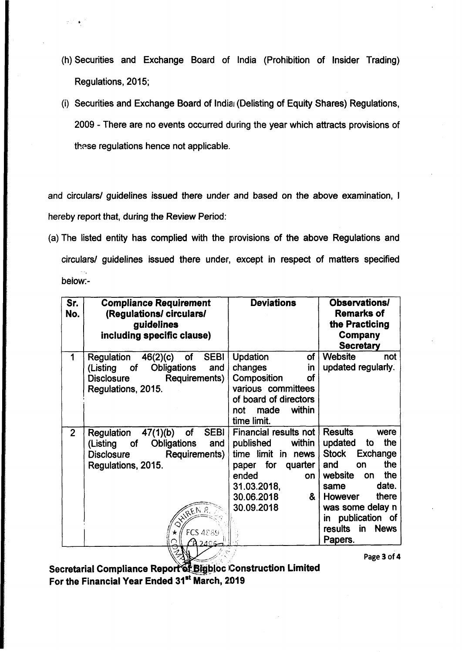- (h) Securities and Exchange Board of India (Prohibition of Insider Trading) Regulations, 2015;
- (i) Securities and Exchange Board of India1 (Delisting of Equity Shares) Regulations, 2009 - There are no events occurred during the year which attracts provisions of these regulations hence not applicable.

and circulars/ guidelines issued there under and based on the above examination, I hereby report that, during the Review Period:

(a) The listed entity has complied with the provisions of the above Regulations and circulars/ guidelines issued there under, except in respect of matters specified below:-

| Sr.<br>No.     | <b>Compliance Requirement</b><br>(Regulations/circulars/<br>guidelines<br>including specific clause)                                                                                                          | <b>Deviations</b>                                                                                                                                             | <b>Observations/</b><br><b>Remarks of</b><br>the Practicing<br>Company                                                                                                                                                   |
|----------------|---------------------------------------------------------------------------------------------------------------------------------------------------------------------------------------------------------------|---------------------------------------------------------------------------------------------------------------------------------------------------------------|--------------------------------------------------------------------------------------------------------------------------------------------------------------------------------------------------------------------------|
| 1              | <b>SEBI</b><br>Regulation 46(2)(c)<br>of<br><b>Obligations</b><br>(Listing of<br>and<br>Requirements)  <br><b>Disclosure</b><br>Regulations, 2015.                                                            | <b>Updation</b><br>of<br>changes<br>in<br>Composition<br>оf<br>various committees<br>of board of directors<br>within<br>made<br>not<br>time limit.            | <b>Secretary</b><br><b>Website</b><br>not<br>updated regularly.                                                                                                                                                          |
| $\overline{2}$ | SEBI  <br>47(1)(b)<br>of<br>Regulation<br><b>Obligations</b><br>and<br>(Listing of<br>Requirements)<br><b>Disclosure</b><br>Regulations, 2015.<br>REN R<br><b>FCS 4889</b><br>ነ <b>ስ</b> ኃ $\Lambda$ ርፌ<br>ZM | Financial results not<br>within<br>published<br>time limit in news  <br>paper for<br>quarter  <br>ended<br>on<br>31.03.2018,<br>30.06.2018<br>&<br>30.09.2018 | <b>Results</b><br>were<br>the<br>updated<br>to<br>Stock Exchange<br>the<br>and<br>on<br>the<br>website<br>on<br>date.<br>same<br>there<br>However<br>was some delay n<br>in publication of<br>results in News<br>Papers. |

**Page 3 of 4** 

**Secretarial Compliance Report of Bigbloc Construction Limited For the Financial Year Ended 31" March, 2D19**